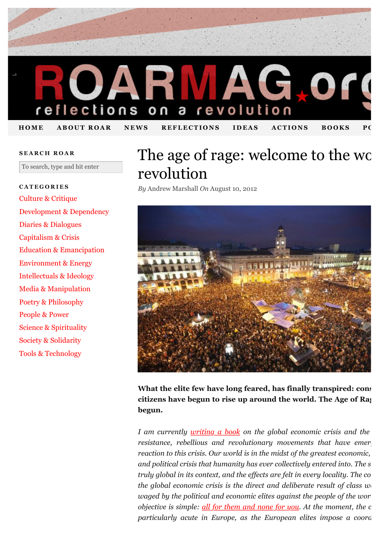

#### **SEARCH ROAR**

To search, type and hit enter

## **CATEGORIES** [Culture & Critique](http://roarmag.org/content/culture/) [Development & Dependency](http://roarmag.org/content/development/) [Diaries & Dialogues](http://roarmag.org/content/diaries/) [Capitalism & Crisis](http://roarmag.org/content/economy/) [Education & Emancipation](http://roarmag.org/content/education/) [Environment & Energy](http://roarmag.org/content/environment/) [Intellectuals & Ideology](http://roarmag.org/content/ideology/) [Media & Manipulation](http://roarmag.org/content/media/) [Poetry & Philosophy](http://roarmag.org/content/philosophy/) [People & Power](http://roarmag.org/content/politics/) [Science & Spirituality](http://roarmag.org/content/science/) [Society & Solidarity](http://roarmag.org/content/society/) [Tools & Technology](http://roarmag.org/content/tools-technology/)

# The age of rage: welcome to the wo revolution

*By* Andrew Marshall *On* August 10, 2012



What the elite few have long feared, has finally transpired: cons citizens have begun to rise up around the world. The Age of Rag **begun.**

*I am currently [writing a book](http://www.thepeoplesbookproject.com/) on the global economic crisis and the global resistance, rebellious and revolutionary movements that have emerged inconsident reaction to this crisis. Our world is in the midst of the greatest economic, and political crisis that humanity has ever collectively entered into. The s truly global in its context, and the effects are felt in every locality. The co the global economic crisis is the direct and deliberate result of class*  $w_1$ *waged by the political and economic elites against the people of the world objective is simple: <u>all for them and none for you</u>. At the moment, the c particularly acute in Europe, as the European elites impose a coordinated*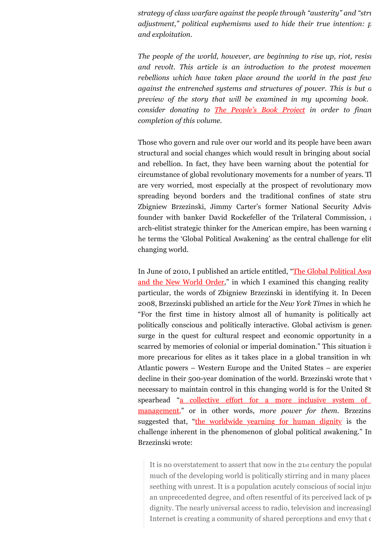*strategy of class warfare against the people through "austerity" and "string adjustment," political euphemisms used to hide their true intention: p and exploitation.*

*The people of the world, however, are beginning to rise up, riot, resist* and revolt. This article is an introduction to the protest movemen *rebellions which have taken place around the world in the past few against the entrenched systems and structures of power. This is but a preview of the story that will be examined in my upcoming book. consider donating to [The People's Book Project](http://thepeoplesbookproject.com/support-the-book/) in order to finan completion of this volume.*

Those who govern and rule over our world and its people have been aware structural and social changes which would result in bringing about social and rebellion. In fact, they have been warning about the potential for circumstance of global revolutionary movements for a number of years. The are very worried, most especially at the prospect of revolutionary move spreading beyond borders and the traditional confines of state structures. Zbigniew Brzezinski, Jimmy Carter's former National Security Adviser founder with banker David Rockefeller of the Trilateral Commission, and an arch-elitist strategic thinker for the American empire, has been warning of he terms the 'Global Political Awakening' as the central challenge for elit changing world.

[In June of 2010, I published an article entitled, "The Global Political Awa](http://andrewgavinmarshall.com/2011/07/14/the-global-political-awakening-and-the-new-world-order/) and the New World Order," in which I examined this changing reality particular, the words of Zbigniew Brzezinski in identifying it. In Decem 2008, Brzezinski published an article for the *New York Times* in which he "For the first time in history almost all of humanity is politically activated, politically conscious and politically interactive. Global activism is generationally surge in the quest for cultural respect and economic opportunity in a scarred by memories of colonial or imperial domination." This situation is more precarious for elites as it takes place in a global transition in which Atlantic powers – Western Europe and the United States – are experiency decline in their 500-year domination of the world. Brzezinski wrote that v necessary to maintain control in this changing world is for the United St spearhead "a collective effort for a more inclusive system of management," or in other words, *more power for them*. Brzezins suggested that, ["the worldwide yearning for human dignity](http://www.economist.com/blogs/democracyinamerica/2007/03/a_new_brain_for_barack_obama) is the challenge inherent in the phenomenon of global political awakening." In Brzezinski wrote:

It is no overstatement to assert that now in the 21st century the population much of the developing world is politically stirring and in many places seething with unrest. It is a population acutely conscious of social injustice to the top of social injustice to the top. an unprecedented degree, and often resentful of its perceived lack of  $p_0$ dignity. The nearly universal access to radio, television and increasingly Internet is creating a community of shared perceptions and envy that  $\epsilon$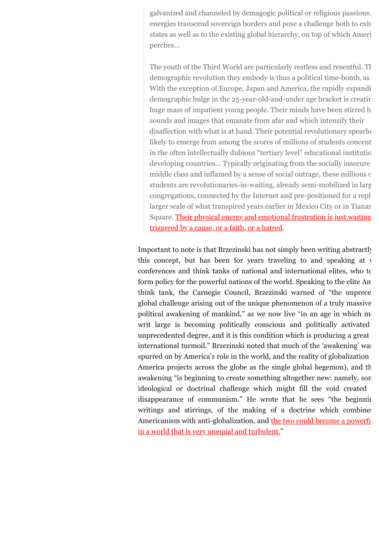galvanized and channeled by demagogic political or religious passions. energies transcend sovereign borders and pose a challenge both to exist states as well as to the existing global hierarchy, on top of which Ameri perches…

The youth of the Third World are particularly restless and resentful. The demographic revolution they embody is thus a political time-bomb, as With the exception of Europe, Japan and America, the rapidly expanding demographic bulge in the 25-year-old-and-under age bracket is creating huge mass of impatient young people. Their minds have been stirred by sounds and images that emanate from afar and which intensify their disaffection with what is at hand. Their potential revolutionary spearhead likely to emerge from among the scores of millions of students concent in the often intellectually dubious "tertiary level" educational institution developing countries... Typically originating from the socially insecure middle class and inflamed by a sense of social outrage, these millions of students are revolutionaries-in-waiting, already semi-mobilized in large congregations, connected by the Internet and pre-positioned for a replay larger scale of what transpired years earlier in Mexico City or in Tianar [Square. Their physical energy and emotional frustration is just waiting](http://www.the-american-interest.com/article.cfm?piece=56) triggered by a cause, or a faith, or a hatred.

Important to note is that Brzezinski has not simply been writing abstractly this concept, but has been for years traveling to and speaking at  $\nu$ conferences and think tanks of national and international elites, who to form policy for the powerful nations of the world. Speaking to the elite Am think tank, the Carnegie Council, Brzezinski warned of "the unprece global challenge arising out of the unique phenomenon of a truly massive political awakening of mankind," as we now live "in an age in which  $m_i$ writ large is becoming politically conscious and politically activated unprecedented degree, and it is this condition which is producing a great international turmoil." Brzezinski noted that much of the 'awakening' was spurred on by America's role in the world, and the reality of globalization America projects across the globe as the single global hegemon), and the awakening "is beginning to create something altogether new: namely, son ideological or doctrinal challenge which might fill the void created disappearance of communism." He wrote that he sees "the beginning writings and stirrings, of the making of a doctrine which combines [Americanism with anti-globalization, and the two could become a powerfu](http://www.carnegiecouncil.org/resources/transcripts/4424.html)l in a world that is very unequal and turbulent."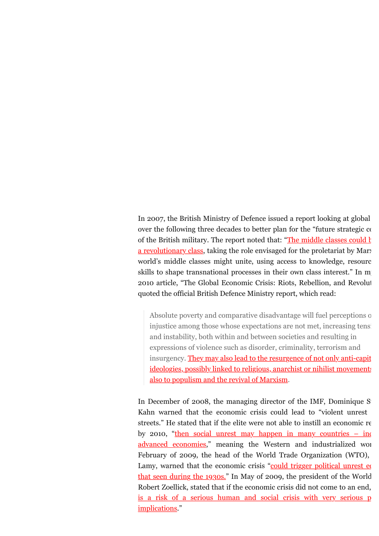In 2007, the British Ministry of Defence issued a report looking at global over the following three decades to better plan for the "future strategic  $\alpha$ of the British military. The report noted that: "The middle classes could  $\frac{1}{k}$ a revolutionary class, taking the role envisaged for the proletariat by Mary world's middle classes might unite, using access to knowledge, resources skills to shape transnational processes in their own class interest." In m 2010 article, "The Global Economic Crisis: Riots, Rebellion, and Revolution quoted the official British Defence Ministry report, which read:

Absolute poverty and comparative disadvantage will fuel perceptions of injustice among those whose expectations are not met, increasing tensiand instability, both within and between societies and resulting in expressions of violence such as disorder, criminality, terrorism and [insurgency. They may also lead to the resurgence of not only anti-capit](http://andrewgavinmarshall.com/2011/07/14/the-global-economic-crisis-riots-rebellion-and-revolution/) ideologies, possibly linked to religious, anarchist or nihilist movements also to populism and the revival of Marxism.

In December of 2008, the managing director of the IMF, Dominique S Kahn warned that the economic crisis could lead to "violent unrest streets." He stated that if the elite were not able to instill an economic  $r\epsilon$ by 2010, "then social unrest may happen in many countries  $-$  ing advanced economies," meaning the Western and industrialized world. February of 2009, the head of the World Trade Organization (WTO), Lamy, warned that the economic crisis "could trigger political unrest  $\epsilon$ that seen during the  $1930s$ ." In May of 2009, the president of the World [Robert Zoellick, stated that if the economic crisis did not come to an end,](http://news.bbc.co.uk/2/hi/business/8066037.stm) is a risk of a serious human and social crisis with very serious p implications."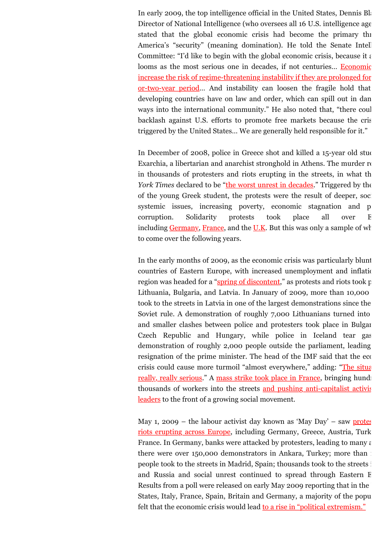In early 2009, the top intelligence official in the United States, Dennis Blair, the United States, Dennis Blair, the United States, Dennis Blair, the United States, Dennis Blair, the United States, Dennis Blair, the Unite Director of National Intelligence (who oversees all 16 U.S. intelligence age.) stated that the global economic crisis had become the primary the America's "security" (meaning domination). He told the Senate Intell Committee: "I'd like to begin with the global economic crisis, because it  $\epsilon$ looms as the most serious one in decades, if not centuries... Economic increase the risk of regime-threatening instability if they are prolonged for or-two-year period... And instability can loosen the fragile hold that developing countries have on law and order, which can spill out in dan ways into the international community." He also noted that, "there coul backlash against U.S. efforts to promote free markets because the crisis triggered by the United States… We are generally held responsible for it."

In December of 2008, police in Greece shot and killed a 15-year old student Exarchia, a libertarian and anarchist stronghold in Athens. The murder  $r_{\text{t}}$ in thousands of protesters and riots erupting in the streets, in what the *York Times* declared to be ["the worst unrest in decades.](http://www.nytimes.com/2008/12/11/world/europe/11iht-greece.4.18609204.html?_r=1)" Triggered by the of the young Greek student, the protests were the result of deeper, soci systemic issues, increasing poverty, economic stagnation and p corruption. Solidarity protests took place all over E including [Germany,](http://www.spiegel.de/international/europe/protest-fallout-demonstrators-occupy-greek-consulate-in-berlin-a-595033.html) [France,](http://web.archive.org/web/20081215110919/http://www.google.com/hostednews/ap/article/ALeqM5hBFlGGEp5P_Xn83Bw3PLwJ020A-QD951DTSO0) and the  $U.K.$  But this was only a sample of wh to come over the following years.

In the early months of 2009, as the economic crisis was particularly blunt countries of Eastern Europe, with increased unemployment and inflation region was headed for a "[spring of discontent,](http://www.guardian.co.uk/world/2009/jan/18/eu-riots-vilinius)" as protests and riots took p Lithuania, Bulgaria, and Latvia. In January of 2009, more than 10,000 took to the streets in Latvia in one of the largest demonstrations since the Soviet rule. A demonstration of roughly 7,000 Lithuanians turned into and smaller clashes between police and protesters took place in Bulgar Czech Republic and Hungary, while police in Iceland tear gas demonstration of roughly 2,000 people outside the parliament, leading resignation of the prime minister. The head of the IMF said that the economic [crisis could cause more turmoil "almost everywhere," adding: "The situa](http://www.washingtonpost.com/wp-dyn/content/article/2009/01/25/AR2009012502516.html)tion is expanded." really, really serious." A [mass strike took place in France,](http://www.telegraph.co.uk/comment/personal-view/4363750/Europes-winter-of-discontent.html) bringing hunder [thousands of workers into the streets and pushing anti-capitalist activis](http://www.ft.com/intl/cms/s/0/71c25576-eda6-11dd-bd60-0000779fd2ac.html#axzz21rAgReBi) leaders to the front of a growing social movement.

[May 1, 2009 – the labour activist day known as 'May Day' – saw protes](http://www.telegraph.co.uk/news/worldnews/europe/5258634/Riots-across-Europe-fuelled-by-economic-crisis.html) riots erupting across Europe, including Germany, Greece, Austria, Turk France. In Germany, banks were attacked by protesters, leading to many  $\varepsilon$ there were over 150,000 demonstrators in Ankara, Turkey; more than people took to the streets in Madrid, Spain; thousands took to the streets in and Russia and social unrest continued to spread through Eastern E Results from a poll were released on early May 2009 reporting that in the States, Italy, France, Spain, Britain and Germany, a majority of the populations. felt that the economic crisis would lead [to a rise in "political extremism."](http://www.nytimes.com/2009/05/07/world/europe/07poll.html)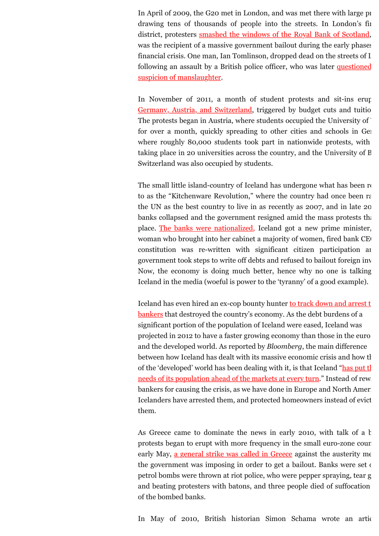In April of 2009, the G20 met in London, and was met there with large protests. drawing tens of thousands of people into the streets. In London's fin district, protesters [smashed the windows of the Royal Bank of Scotland](http://uk.reuters.com/article/2009/04/02/uk-g20-protests-idUKTRE53101020090402), was the recipient of a massive government bailout during the early phases financial crisis. One man, Ian Tomlinson, dropped dead on the streets of I [following an assault by a British police officer, who was later questioned](http://www.guardian.co.uk/uk/2009/apr/17/ian-tomlinson-g20-protest-coroner) suspicion of manslaughter.

[In November of 2011, a month of student protests and sit-ins erup](http://universitypost.dk/article/massive-student-protests-germany-and-austria)ted Germany, Austria, and Switzerland, triggered by budget cuts and tuition The protests began in Austria, where students occupied the University of ` for over a month, quickly spreading to other cities and schools in Germany, where roughly 80,000 students took part in nationwide protests, with taking place in 20 universities across the country, and the University of B Switzerland was also occupied by students.

The small little island-country of Iceland has undergone what has been  $r_1$ to as the "Kitchenware Revolution," where the country had once been rated by the UN as the best country to live in as recently as 2007, and in late 20 banks collapsed and the government resigned amid the mass protests that place. [The banks were nationalized,](http://www.independent.co.uk/news/world/europe/a-nordic-revolution-the-heroines-of-reykjavik-7658212.html) Iceland got a new prime minister, woman who brought into her cabinet a majority of women, fired bank CE constitution was re-written with significant citizen participation and government took steps to write off debts and refused to bailout foreign inv Now, the economy is doing much better, hence why no one is talking Iceland in the media (woeful is power to the 'tyranny' of a good example).

Iceland has even hired an ex-cop bounty hunter to track down and arrest  $t$ bankers that destroyed the country's economy. As the debt burdens of a significant portion of the population of Iceland were eased, Iceland was projected in 2012 to have a faster growing economy than those in the euro and the developed world. As reported by *Bloomberg*, the main difference between how Iceland has dealt with its massive economic crisis and how the rest of  $r_{\text{e}}$ [of the 'developed' world has been dealing with it, is that Iceland "has put th](http://www.bloomberg.com/news/2012-02-20/icelandic-anger-brings-record-debt-relief-in-best-crisis-recovery-story.html)e needs of its population ahead of the markets at every turn." Instead of rewards bankers for causing the crisis, as we have done in Europe and North Ameri Icelanders have arrested them, and protected homeowners instead of evict them.

As Greece came to dominate the news in early 2010, with talk of a  $$ protests began to erupt with more frequency in the small euro-zone count early May, [a general strike was called in Greece](http://news.bbc.co.uk/2/hi/8661385.stm) against the austerity measure the government was imposing in order to get a bailout. Banks were set on petrol bombs were thrown at riot police, who were pepper spraying, tear g and beating protesters with batons, and three people died of suffocation of the bombed banks.

In May of 2010, British historian Simon Schama wrote an artic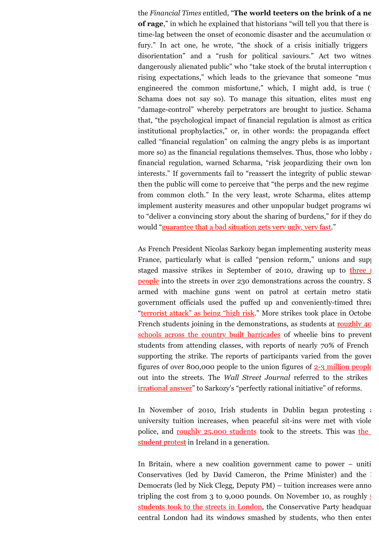the *Financial Times* entitled, "The world teeters on the brink of a ne **of rage**," in which he explained that historians "will tell you that there is time-lag between the onset of economic disaster and the accumulation of fury." In act one, he wrote, "the shock of a crisis initially triggers disorientation" and a "rush for political saviours." Act two witnes dangerously alienated public" who "take stock of the brutal interruption of rising expectations," which leads to the grievance that someone "mus engineered the common misfortune," which, I might add, is true  $($ Schama does not say so). To manage this situation, elites must eng "damage-control" whereby perpetrators are brought to justice. Schama that, "the psychological impact of financial regulation is almost as critical institutional prophylactics," or, in other words: the propaganda effect called "financial regulation" on calming the angry plebs is as important more so) as the financial regulations themselves. Thus, those who lobby  $\alpha$ financial regulation, warned Scharma, "risk jeopardizing their own longinterests." If governments fail to "reassert the integrity of public steward then the public will come to perceive that "the perps and the new regime from common cloth." In the very least, wrote Scharma, elites attemption implement austerity measures and other unpopular budget programs will to "deliver a convincing story about the sharing of burdens," for if they do would ["guarantee that a bad situation gets very ugly, very fast.](http://www.ft.com/intl/cms/s/0/45796f88-653a-11df-b648-00144feab49a.html#axzz21rAgReBi)"

As French President Nicolas Sarkozy began implementing austerity meas France, particularly what is called "pension reform," unions and supp [staged massive strikes in September of 2010, drawing up to three m](http://www.aljazeera.com/news/europe/2010/09/201092383449360925.html)illion people into the streets in over 230 demonstrations across the country. S armed with machine guns went on patrol at certain metro stations government officials used the puffed up and conveniently-timed threat ["terrorist attack" as being "high risk.](http://www.france24.com/en/20100922-france-faces-fresh-wave-strikes-over-pensions-reform-sarkozy-transport-protests)" More strikes took place in Octobe [French students joining in the demonstrations, as students at roughly 40](http://www.france24.com/en/20101011-france-faces-further-pension-reform-strikes-protests-retirement-age) schools across the country built barricades of wheelie bins to prevent students from attending classes, with reports of nearly 70% of French supporting the strike. The reports of participants varied from the government figures of over 800,000 people to the union figures of [2-3 million people](http://www.bbc.co.uk/news/world-europe-11559265) out into the streets. The *Wall Street Journal* referred to the strikes [irrational answer" to Sarkozy's "perfectly rational initiative" of reforms.](http://online.wsj.com/article/SB10001424052702304741404575564354040144426.html)

In November of 2010, Irish students in Dublin began protesting  $\alpha$ university tuition increases, when peaceful sit-ins were met with viole police, and roughly  $25,000$  students took to the streets. This was the student protest in Ireland in a generation.

In Britain, where a new coalition government came to power  $-$  uniti Conservatives (led by David Cameron, the Prime Minister) and the  $\perp$ Democrats (led by Nick Clegg, Deputy  $PM$ ) – tuition increases were anno tripling the cost from 3 to 9,000 pounds. On November 10, as roughly  $\mathfrak{g}$ students took to the streets in London, the Conservative Party headquarters in London, the Conservative Party headquarters in London. central London had its windows smashed by students, who then enter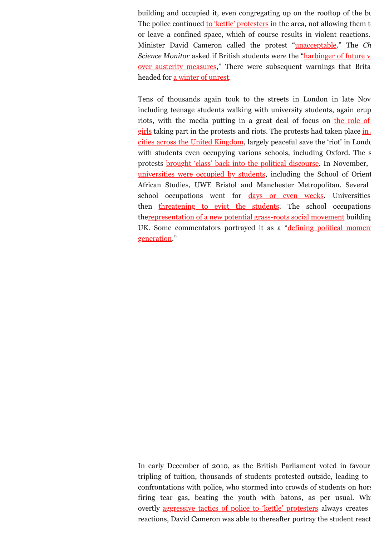building and occupied it, even congregating up on the rooftop of the building. The police continued [to 'kettle' protesters](http://www.ft.com/intl/cms/s/0/0db5a246-ecdb-11df-88eb-00144feab49a.html#axzz14ujgAYre) in the area, not allowing them to or leave a confined space, which of course results in violent reactions. Minister David Cameron called the protest ["unacceptable.](http://www.bbc.co.uk/news/uk-politics-11732264)" The Ch *Science Monitor* asked if British students were the "harbinger of future v [over austerity measures," There were subsequent warnings that Brita](http://www.csmonitor.com/World/Europe/2010/1111/Are-British-student-protests-a-harbinger-of-future-violence-over-austerity-measures) headed for [a winter of unrest.](http://www.guardian.co.uk/society/2010/nov/14/millbank-student-protests-analysis)

Tens of thousands again took to the streets in London in late November. including teenage students walking with university students, again erup riots, with the media putting in a great deal of focus on the role of girls taking part in the protests and riots. The protests had taken place in cities across the United Kingdom, largely peaceful save the 'riot' in London with students even occupying various schools, including Oxford. The s [protests brought 'class' back into the political discourse. In November,](http://www.bbc.co.uk/news/education-11810931)  universities were occupied by students, including the School of Orient African Studies, UWE Bristol and Manchester Metropolitan. Several school occupations went for [days or even weeks](http://www.bbc.co.uk/news/education-11874633). Universities then [threatening to evict the students](http://www.guardian.co.uk/leeds/2010/dec/07/leeds-student-protesters-face-eviction-from-occupied-building). The school occupations th[erepresentation of a new potential grass-roots social movement](http://www.guardian.co.uk/education/2010/nov/29/new-age-of-student-protest) building [UK. Some commentators portrayed it as a "defining political moment](http://www.guardian.co.uk/education/2010/dec/12/riots-fire-anger-defining-political-moment) generation."

In early December of 2010, as the British Parliament voted in favour tripling of tuition, thousands of students protested outside, leading to confrontations with police, who stormed into crowds of students on horse firing tear gas, beating the youth with batons, as per usual. While overtly [aggressive tactics of police to 'kettle' protesters](http://www.guardian.co.uk/education/2010/dec/10/student-protests-tuition-fees-violence) always creates reactions, David Cameron was able to thereafter portray the student react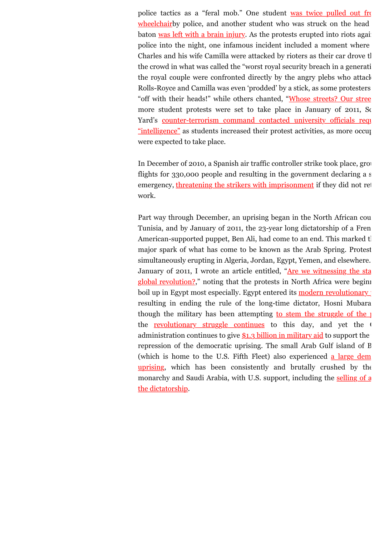[police tactics as a "feral mob." One student was twice pulled out fro](http://www.guardian.co.uk/uk/2010/dec/14/student-protests-video-protester-wheelchair)m wheelchairby police, and another student who was struck on the head baton [was left with a brain injury.](http://www.bbc.co.uk/news/uk-england-london-11967098) As the protests erupted into riots against police into the night, one infamous incident included a moment where Charles and his wife Camilla were attacked by rioters as their car drove the the crowd in what was called the "worst royal security breach in a generation," the royal couple were confronted directly by the angry plebs who attack Rolls-Royce and Camilla was even 'prodded' by a stick, as some protesters "off with their heads!" while others chanted, ["Whose streets? Our stree](http://www.dailymail.co.uk/news/article-1337478/ROYAL-CAR-ATTACK-Blunder-left-Camilla-cowering-hit-ribs-protestors.html)t more student protests were set to take place in January of 2011, So [Yard's counter-terrorism command contacted university officials requ](http://www.guardian.co.uk/education/2011/jan/17/police-contact-colleges-over-student-protests)estion "intelligence" as students increased their protest activities, as more occup were expected to take place.

In December of 2010, a Spanish air traffic controller strike took place, grou flights for  $330,000$  people and resulting in the government declaring a s emergency, [threatening the strikers with imprisonment](http://www.guardian.co.uk/world/2010/dec/04/spanish-airport-strike-state-emergency) if they did not ret work.

Part way through December, an uprising began in the North African cou Tunisia, and by January of 2011, the 23-year long dictatorship of a Fren American-supported puppet, Ben Ali, had come to an end. This marked the first marked the first puppet, Ben Ali, had come to an end. This marked the first major spark of what has come to be known as the Arab Spring. Protest simultaneously erupting in Algeria, Jordan, Egypt, Yemen, and elsewhere. [January of 2011, I wrote an article entitled, "Are we witnessing the sta](http://andrewgavinmarshall.com/2011/07/15/are-we-witnessing-the-start-of-a-global-revolution/) global revolution?," noting that the protests in North Africa were beginning to the protests in North Africa were beginning to the state of the state of the state of the state of the state of the state of the state of the boil up in Egypt most especially. Egypt entered its modern revolutionary  $\phi$ resulting in ending the rule of the long-time dictator, Hosni Mubara though the military has been attempting to stem the struggle of the  $p$ the [revolutionary struggle continues](http://www.guardian.co.uk/commentisfree/2012/apr/19/insult-revolutionary-egypt-elections) to this day, and yet the  $\theta$ administration continues to give  $$1.3$  billion in military aid to support the repression of the democratic uprising. The small Arab Gulf island of  $B$ [\(which is home to the U.S. Fifth Fleet\) also experienced a large dem](http://en.wikipedia.org/wiki/Bahraini_uprising_%282011%E2%80%93present%29) uprising, which has been consistently and brutally crushed by the [monarchy and Saudi Arabia, with U.S. support, including the selling of a](http://www.csmonitor.com/World/Middle-East/2012/0514/US-resumes-arms-sales-to-Bahrain.-Activists-feel-abandoned) the dictatorship.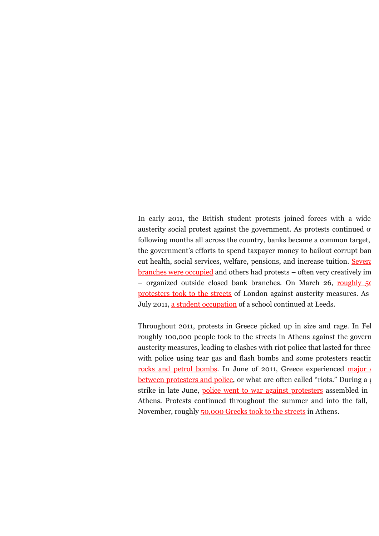In early 2011, the British student protests joined forces with a wide austerity social protest against the government. As protests continued o following months all across the country, banks became a common target, the government's efforts to spend taxpayer money to bailout corrupt ban [cut health, social services, welfare, pensions, and increase tuition. Severa](http://www.guardian.co.uk/uk/2011/may/28/uk-uncut-nhs-bank-protests)l  $$ – organized outside closed bank branches. On March 26, roughly  $50$ protesters took to the streets of London against austerity measures. As July 2011, [a student occupation](http://www.independent.co.uk/news/education/higher/student-protest-against-leeds-trinitys-fee-rises-is-longest-sitin-in-the-country-2308061.html) of a school continued at Leeds.

Throughout 2011, protests in Greece picked up in size and rage. In Fel roughly 100,000 people took to the streets in Athens against the govern austerity measures, leading to clashes with riot police that lasted for three [with police using tear gas and flash bombs and some protesters reactin](http://www.aljazeera.com/news/europe/2011/02/201122316141729962.html)g [rocks and petrol bombs. In June of 2011, Greece experienced major c](http://www.dailymail.co.uk/debate/article-2004550/Greece-riots-2011-A-crisis-tear-Europe-apart.html) between protesters and police, or what are often called "riots." During a  $\beta$ strike in late June, [police went to war against protesters](http://www.bbc.co.uk/news/world-europe-13935400) assembled in Athens. Protests continued throughout the summer and into the fall, November, roughly [50,000 Greeks took to the streets](http://www.reuters.com/article/2011/11/17/us-eurozone-idUSTRE7AC15K20111117) in Athens.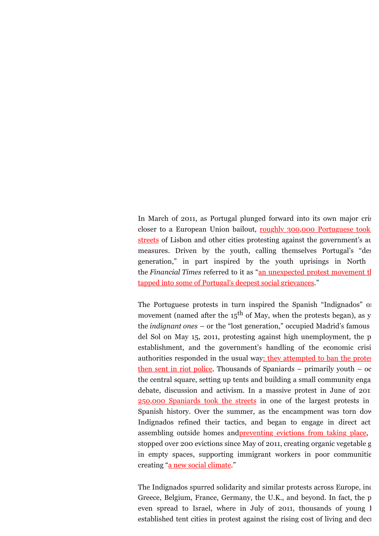In March of 2011, as Portugal plunged forward into its own major crisis closer to a European Union bailout, roughly 300,000 Portuguese took streets of Lisbon and other cities protesting against the government's au measures. Driven by the youth, calling themselves Portugal's "desperates" generation," in part inspired by the youth uprisings in North the *Financial Times* referred to it as "an unexpected protest movement the [tapped into some of Portugal's deepest social grievances."](http://www.ft.com/intl/cms/s/0/95990eb8-4c09-11e0-82df-00144feab49a.html#ixzz1LNjYki2O)

The Portuguese protests in turn inspired the Spanish "Indignados" or movement (named after the  $15<sup>th</sup>$  of May, when the protests began), as y the *indignant ones* – or the "lost generation," occupied Madrid's famous del Sol on May  $15$ , 2011, protesting against high unemployment, the p establishment, and the government's handling of the economic crisi [authorities responded in the usual way: they attempted to ban the protes](http://www.spiegel.de/international/europe/tahrir-square-in-madrid-spain-s-lost-generation-finds-its-voice-a-763581.html) then sent in riot police. Thousands of Spaniards – primarily youth – oc the central square, setting up tents and building a small community engaging [debate, discussion and activism. In a massive protest in June of 2011](http://roarmag.org/2011/06/19-j-spain-protest-indignados-madrid/) 250,000 Spaniards took the streets in one of the largest protests in Spanish history. Over the summer, as the encampment was torn down Indignados refined their tactics, and began to engage in direct act assembling outside homes and <u>preventing evictions from taking place</u>, stopped over 200 evictions since May of 2011, creating organic vegetable g in empty spaces, supporting immigrant workers in poor communities creating ["a new social climate.](http://roarmag.org/2012/06/losing-strength-an-alternative-vision-of-the-indignados/)"

The Indignados spurred solidarity and similar protests across Europe, inc Greece, Belgium, France, Germany, the U.K., and beyond. In fact, the p even spread to Israel, where in July of 2011, thousands of young I established tent cities in protest against the rising cost of living and decreasing the rising cost of living and decreasing of the rising cost of living and decreasing of the rising cost of living and decreasing of the ri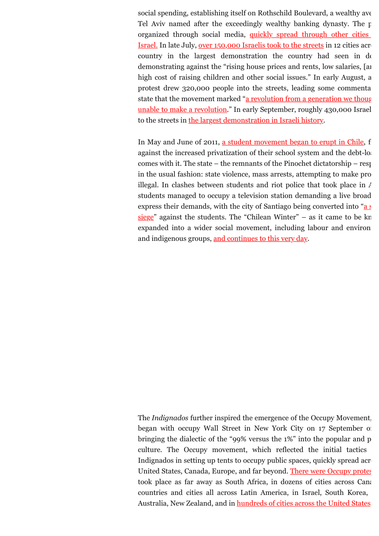social spending, establishing itself on Rothschild Boulevard, a wealthy ave Tel Aviv named after the exceedingly wealthy banking dynasty. The  $p$ organized through social media, quickly spread through other cities Israel. In late July, [over 150,000 Israelis took to the streets](http://www.guardian.co.uk/world/2011/jul/31/protest-israel-house-prices-salaries) in 12 cities across country in the largest demonstration the country had seen in de demonstrating against the "rising house prices and rents, low salaries, [and high cost of raising children and other social issues." In early August, a protest drew  $320,000$  people into the streets, leading some commentation[state that the movement marked "a revolution from a generation we thoug](http://www.jpost.com/NationalNews/Article.aspx?id=233324)ht unable to make a revolution." In early September, roughly 430,000 Israel to the streets in [the largest demonstration in Israeli history.](http://www.guardian.co.uk/world/2011/sep/04/israel-protests-social-justice)

In May and June of 2011, [a student movement began to erupt in Chile,](http://www.bbc.co.uk/news/world-latin-america-14487555) f against the increased privatization of their school system and the debt-load comes with it. The state – the remnants of the Pinochet dictatorship – responded in the usual fashion: state violence, mass arrests, attempting to make pro illegal. In clashes between students and riot police that took place in  $\lambda$ students managed to occupy a television station demanding a live broad express their demands, with the city of Santiago being converted into "a  $\epsilon$ siege" against the students. The "Chilean Winter" – as it came to be kn expanded into a wider social movement, including labour and environ and indigenous groups, [and continues to this very day.](http://andrewgavinmarshall.com/2012/05/18/from-the-chilean-winter-to-the-maple-spring-solidarity-and-the-student-movements-in-chile-and-quebec/)

The *Indignados* further inspired the emergence of the Occupy Movement. began with occupy Wall Street in New York City on 17 September of bringing the dialectic of the "99% versus the  $1\%$ " into the popular and p culture. The Occupy movement, which reflected the initial tactics Indignados in setting up tents to occupy public spaces, quickly spread across the setting up tents to occupy public spaces. United States, Canada, Europe, and far beyond. [There were Occupy protes](http://en.wikipedia.org/wiki/List_of_Occupy_movement_protest_locations) took place as far away as South Africa, in dozens of cities across Canada countries and cities all across Latin America, in Israel, South Korea, Australia, New Zealand, and in [hundreds of cities across the United States.](http://en.wikipedia.org/wiki/List_of_Occupy_movement_protest_locations_in_the_United_States)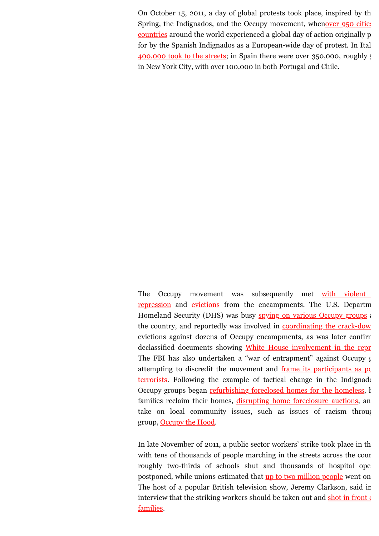On October 15, 2011, a day of global protests took place, inspired by the Araba [Spring, the Indignados, and the Occupy movement, whenover 950 cities](http://www.france24.com/en/20111015-indignant-protests-go-global-saturday) countries around the world experienced a global day of action originally p [for by the Spanish Indignados as a European-wide day of protest. In Ital](http://en.wikipedia.org/wiki/15_October_2011_global_protests#Arrests)  $400,000$  took to the streets; in Spain there were over 350,000, roughly  $\ddot{\cdot}$ in New York City, with over 100,000 in both Portugal and Chile.

The Occupy movement was subsequently met with violent repression and [evictions](http://www.guardian.co.uk/world/gallery/2011/nov/15/global-occupy-movement-evictions-in-pictures) from the encampments. The U.S. Departm Homeland Security (DHS) was busy [spying on various Occupy groups](http://www.rollingstone.com/politics/blogs/national-affairs/exclusive-homeland-security-kept-tabs-on-occupy-wall-street-20120228) and the country, and reportedly was involved in **[coordinating the crack-dow](http://www.huffingtonpost.com/2011/11/18/occupy-wall-street-crackdowns_n_1101685.html)** evictions against dozens of Occupy encampments, as was later confirm declassified documents showing [White House involvement in the repr](http://www.counterpunch.org/2012/05/14/did-the-white-house-direct-the-police-crackdown-on-occupy/) The FBI has also undertaken a "war of entrapment" against Occupy  $\epsilon$ [attempting to discredit the movement and frame its participants as po](http://www.alternet.org/story/155581/has_the_fbi_launched_a_war_of_entrapment_against_the_occupy_movement?page=0%2C6&paging=off) terrorists. Following the example of tactical change in the Indignador Occupy groups began [refurbishing foreclosed homes for the homeless,](http://www.guardian.co.uk/world/2011/dec/06/occupy-wall-street-occupy-foreclosed-homes) helping families reclaim their homes, [disrupting home foreclosure auctions](http://www.csmonitor.com/USA/2012/0129/What-s-next-for-Occupy-Wall-Street-Activists-target-foreclosure-crisis), and take on local community issues, such as issues of racism through group, [Occupy the Hood.](http://www.dailykos.com/story/2011/11/06/1033486/-Occupy-the-Hood-Communities-of-color-and-the-Occupy-movement)

In late November of 2011, a public sector workers' strike took place in the U.K. with tens of thousands of people marching in the streets across the cour roughly two-thirds of schools shut and thousands of hospital operations. postponed, while unions estimated that [up to two million people](http://www.bbc.co.uk/news/uk-15953806) went on The host of a popular British television show, Jeremy Clarkson, said in [interview that the striking workers should be taken out and shot in front o](http://www.nzherald.co.nz/world/news/article.cfm?c_id=2&objectid=10770116)f families.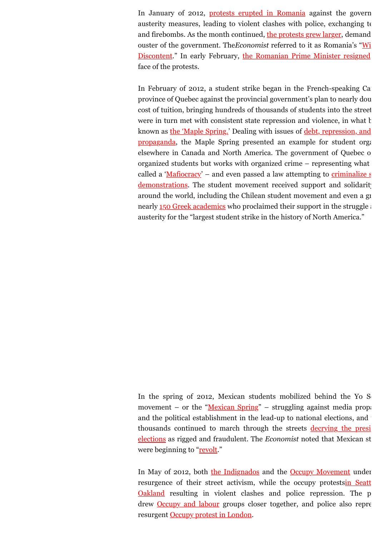In January of 2012, [protests erupted in Romania](http://www.nytimes.com/2012/01/16/world/europe/romanians-protest-austerity-measures.html?_r=1) against the govern austerity measures, leading to violent clashes with police, exchanging to and firebombs. As the month continued, [the protests grew larger,](http://www.nytimes.com/2012/01/20/world/europe/romanian-protesters-urge-governments-ouster.html) demand ouster of the government. The Economist referred to it as Romania's "Wi Discontent." In early February, the Romanian Prime Minister resigned face of the protests.

In February of 2012, a student strike began in the French-speaking Canadian province of Quebec against the provincial government's plan to nearly dou cost of tuition, bringing hundreds of thousands of students into the street were in turn met with consistent state repression and violence, in what  $k$ [known as the 'Maple Spring.' Dealing with issues of debt, repression, and](http://andrewgavinmarshall.com/2012/05/14/ten-points-everyone-should-know-about-the-quebec-student-movement/) propaganda, the Maple Spring presented an example for student organizing elsewhere in Canada and North America. The government of Quebec opposes organized students but works with organized crime – representing what called a 'Mafiocracy' – and even passed a law attempting to criminalize  $\epsilon$ demonstrations. The student movement received support and solidarity around the world, including the Chilean student movement and even a gr nearly  $150$  Greek academics who proclaimed their support in the struggle against austerity for the "largest student strike in the history of North America."

In the spring of 2012, Mexican students mobilized behind the Yo  $S<sub>1</sub>$ movement – or the ["Mexican Spring"](http://www.thenation.com/blog/168099/student-movement-dubbed-mexican-spring) – struggling against media propagan and the political establishment in the lead-up to national elections, and [thousands continued to march through the streets decrying the presi](http://www.thenation.com/blog/169000/tens-thousands-protest-mexicos-new-president)dential elections as rigged and fraudulent. The *Economist* noted that Mexican st were beginning to ["revolt.](http://www.economist.com/blogs/americasview/2012/05/mexico-election-diary)"

In May of 2012, both [the Indignados](http://www.guardian.co.uk/world/2012/may/13/spain-protests-indignados-first-anniversary) and the [Occupy Movement](http://www.guardian.co.uk/world/2012/may/01/may-day-occupy-protests-live) under [resurgence of their street activism, while the occupy protestsin Seatt](http://www.washingtonpost.com/business/economy/occupy-protestors-in-seattle-smash-windows-police-fire-gas-into-crowd-in-oakland/2012/05/02/gIQAhPKTwT_gallery.html) Oakland resulting in violent clashes and police repression. The p drew **Occupy and labour** groups closer together, and police also repres resurgent [Occupy protest in London.](http://www.guardian.co.uk/uk/2012/may/12/occupy-london-arrests-bank-of-england)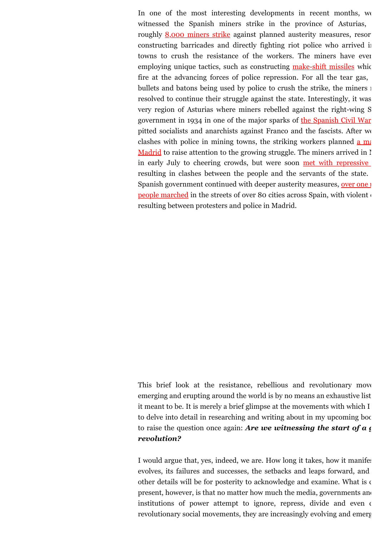In one of the most interesting developments in recent months, we witnessed the Spanish miners strike in the province of Asturias, roughly [8,000 miners strike](http://www.anphoblacht.com/contents/21946) against planned austerity measures, resor constructing barricades and directly fighting riot police who arrived in towns to crush the resistance of the workers. The miners have even employing unique tactics, such as constructing [make-shift missiles](http://www.businessweek.com/ap/2012-06/D9VBPFKG2.htm) which fire at the advancing forces of police repression. For all the tear gas, bullets and batons being used by police to crush the strike, the miners in resolved to continue their struggle against the state. Interestingly, it was very region of Asturias where miners rebelled against the right-wing S government in 1934 in one of the major sparks of [the Spanish Civil War](http://www.theweek.co.uk/eurozone/euro-debt-crisis/47376/spain-bailout-rajoy-crows-while-cradle-civil-war-burns) pitted socialists and anarchists against Franco and the fascists. After we clashes with police in mining towns, the striking workers planned  $\underline{a}$  mar-Madrid to raise attention to the growing struggle. The miners arrived in  $\mathbb{I}$ in early July to cheering crowds, but were soon met with repressive resulting in clashes between the people and the servants of the state. [Spanish government continued with deeper austerity measures, over one m](http://www.rt.com/news/spain-protests-austerity-cuts-634/)ore measures. people marched in the streets of over 80 cities across Spain, with violent of resulting between protesters and police in Madrid.

This brief look at the resistance, rebellious and revolutionary move emerging and erupting around the world is by no means an exhaustive list it meant to be. It is merely a brief glimpse at the movements with which I to delve into detail in researching and writing about in my upcoming book to raise the question once again: *Are we witnessing the start of a global revolution?*

I would argue that, yes, indeed, we are. How long it takes, how it manifest evolves, its failures and successes, the setbacks and leaps forward, and other details will be for posterity to acknowledge and examine. What is  $\epsilon$ present, however, is that no matter how much the media, governments and institutions of power attempt to ignore, repress, divide and even of revolutionary social movements, they are increasingly evolving and emergency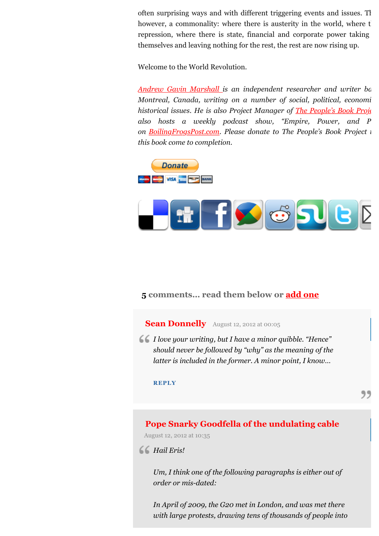often surprising ways and with different triggering events and issues. There is, the is also is also is  $\alpha$ . however, a commonality: where there is austerity in the world, where t repression, where there is state, financial and corporate power taking themselves and leaving nothing for the rest, the rest are now rising up.

Welcome to the World Revolution.

*[Andrew Gavin Marshall i](http://www.andrewgavinmarshall.com/)s an independent researcher and writer ba Montreal, Canada, writing on a number of social, political, economi historical issues. He is also Project Manager of [The People's Book Proje](http://www.thepeoplesbookproject.com/)* also hosts a weekly podcast show, "Empire, Power, and P *on [BoilingFrogsPost.com.](http://www.boilingfrogspost.com/) Please donate to The People's Book Project i this book come to completion.*





## **5 comments… read them below or [add one](http://roarmag.org/2012/08/the-age-of-rage-welcome-to-the-world-revolution/#respond)**

## **[Sean Donnelly](http://none/)** [August 12, 2012 at 00:05](http://roarmag.org/2012/08/the-age-of-rage-welcome-to-the-world-revolution/#comment-17386)

*I love your writing, but I have a minor quibble. "Hence" should never be followed by "why" as the meaning of the latter is included in the former. A minor point, I know…*

#### **[REPLY](http://roarmag.org/2012/08/the-age-of-rage-welcome-to-the-world-revolution/?replytocom=17386#respond)**

## **[Pope Snarky Goodfella of the undulating cable](http://www.facebook.com/PopeSnarky)**

[August 12, 2012 at 10:35](http://roarmag.org/2012/08/the-age-of-rage-welcome-to-the-world-revolution/#comment-17392)

## *Hail Eris!*

*Um, I think one of the following paragraphs is either out of order or mis-dated:*

*In April of 2009, the G20 met in London, and was met there with large protests, drawing tens of thousands of people into*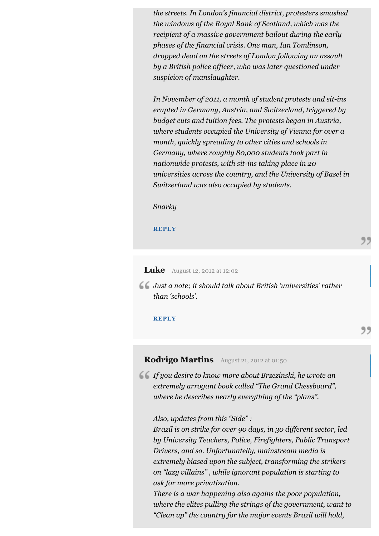*the streets. In London's financial district, protesters smashed the windows of the Royal Bank of Scotland, which was the recipient of a massive government bailout during the early phases of the financial crisis. One man, Ian Tomlinson, dropped dead on the streets of London following an assault by a British police officer, who was later questioned under suspicion of manslaughter.*

*In November of 2011, a month of student protests and sit-ins erupted in Germany, Austria, and Switzerland, triggered by budget cuts and tuition fees. The protests began in Austria, where students occupied the University of Vienna for over a month, quickly spreading to other cities and schools in Germany, where roughly 80,000 students took part in nationwide protests, with sit-ins taking place in 20 universities across the country, and the University of Basel in Switzerland was also occupied by students.*

*Snarky*

**[REPLY](http://roarmag.org/2012/08/the-age-of-rage-welcome-to-the-world-revolution/?replytocom=17392#respond)**

### **Luke** [August 12, 2012 at 12:02](http://roarmag.org/2012/08/the-age-of-rage-welcome-to-the-world-revolution/#comment-17393)

*Just a note; it should talk about British 'universities' rather than 'schools'.*

**[REPLY](http://roarmag.org/2012/08/the-age-of-rage-welcome-to-the-world-revolution/?replytocom=17393#respond)**

## **Rodrigo Martins** [August 21, 2012 at 01:50](http://roarmag.org/2012/08/the-age-of-rage-welcome-to-the-world-revolution/#comment-17556)

*If you desire to know more about Brzezinski, he wrote an extremely arrogant book called "The Grand Chessboard", where he describes nearly everything of the "plans".*

#### *Also, updates from this "Side" :*

*Brazil is on strike for over 90 days, in 30 different sector, led by University Teachers, Police, Firefighters, Public Transport Drivers, and so. Unfortunatelly, mainstream media is extremely biased upon the subject, transforming the strikers on "lazy villains" , while ignorant population is starting to ask for more privatization.*

*There is a war happening also agains the poor population, where the elites pulling the strings of the government, want to "Clean up" the country for the major events Brazil will hold,*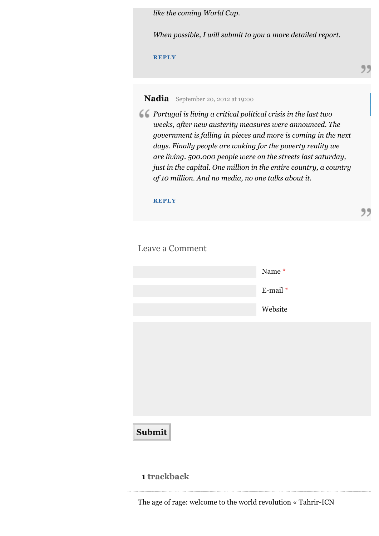*like the coming World Cup.*

*When possible, I will submit to you a more detailed report.*

**[REPLY](http://roarmag.org/2012/08/the-age-of-rage-welcome-to-the-world-revolution/?replytocom=17556#respond)**

**Nadia** [September 20, 2012 at 19:00](http://roarmag.org/2012/08/the-age-of-rage-welcome-to-the-world-revolution/#comment-17990)

*Portugal is living a critical political crisis in the last two weeks, after new austerity measures were announced. The government is falling in pieces and more is coming in the next days. Finally people are waking for the poverty reality we are living. 500.000 people were on the streets last saturday, just in the capital. One million in the entire country, a country of 10 million. And no media, no one talks about it.*

**[REPLY](http://roarmag.org/2012/08/the-age-of-rage-welcome-to-the-world-revolution/?replytocom=17990#respond)**

Leave a Comment

**1 trackback**

|        | Name*    |
|--------|----------|
|        | E-mail * |
|        | Website  |
|        |          |
|        |          |
|        |          |
|        |          |
|        |          |
| Submit |          |
|        |          |

[The age of rage: welcome to the world revolution « Tahrir-ICN](http://tahriricn.wordpress.com/2012/08/10/the-age-of-rage-welcome-to-the-world-revolution/)